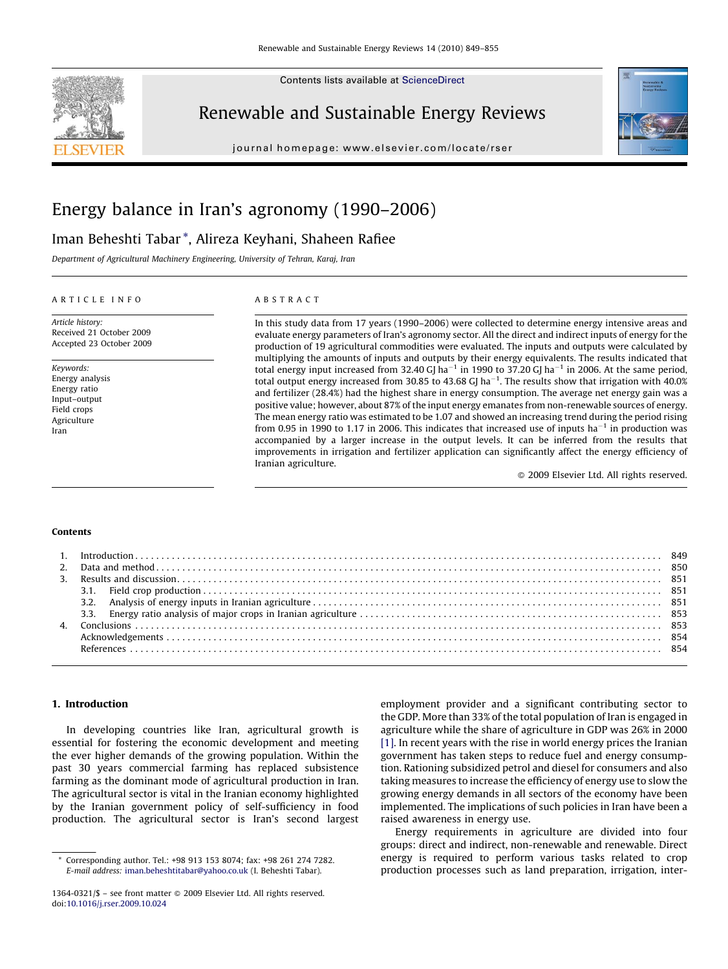

Contents lists available at [ScienceDirect](http://www.sciencedirect.com/science/journal/13640321)

# Renewable and Sustainable Energy Reviews

journal homepage: www.el sevier.com/locate/rser



# Energy balance in Iran's agronomy (1990–2006)

# Iman Beheshti Tabar \*, Alireza Keyhani, Shaheen Rafiee

Department of Agricultural Machinery Engineering, University of Tehran, Karaj, Iran

## ARTICLE INFO

Article history: Received 21 October 2009 Accepted 23 October 2009

Keywords: Energy analysis Energy ratio Input–output Field crops **Agriculture** Iran

# ABSTRACT

In this study data from 17 years (1990–2006) were collected to determine energy intensive areas and evaluate energy parameters of Iran's agronomy sector. All the direct and indirect inputs of energy for the production of 19 agricultural commodities were evaluated. The inputs and outputs were calculated by multiplying the amounts of inputs and outputs by their energy equivalents. The results indicated that total energy input increased from 32.40 GJ ha<sup>-1</sup> in 1990 to 37.20 GJ ha<sup>-1</sup> in 2006. At the same period, total output energy increased from 30.85 to 43.68 GJ ha<sup>-1</sup>. The results show that irrigation with 40.0% and fertilizer (28.4%) had the highest share in energy consumption. The average net energy gain was a positive value; however, about 87% of the input energy emanates from non-renewable sources of energy. The mean energy ratio was estimated to be 1.07 and showed an increasing trend during the period rising from 0.95 in 1990 to 1.17 in 2006. This indicates that increased use of inputs ha<sup>-1</sup> in production was accompanied by a larger increase in the output levels. It can be inferred from the results that improvements in irrigation and fertilizer application can significantly affect the energy efficiency of Iranian agriculture.

 $\odot$  2009 Elsevier Ltd. All rights reserved.

#### Contents

# 1. Introduction

In developing countries like Iran, agricultural growth is essential for fostering the economic development and meeting the ever higher demands of the growing population. Within the past 30 years commercial farming has replaced subsistence farming as the dominant mode of agricultural production in Iran. The agricultural sector is vital in the Iranian economy highlighted by the Iranian government policy of self-sufficiency in food production. The agricultural sector is Iran's second largest

employment provider and a significant contributing sector to the GDP. More than 33% of the total population of Iran is engaged in agriculture while the share of agriculture in GDP was 26% in 2000 [\[1\]](#page-5-0). In recent years with the rise in world energy prices the Iranian government has taken steps to reduce fuel and energy consumption. Rationing subsidized petrol and diesel for consumers and also taking measures to increase the efficiency of energy use to slow the growing energy demands in all sectors of the economy have been implemented. The implications of such policies in Iran have been a raised awareness in energy use.

Energy requirements in agriculture are divided into four groups: direct and indirect, non-renewable and renewable. Direct energy is required to perform various tasks related to crop production processes such as land preparation, irrigation, inter-

Corresponding author. Tel.: +98 913 153 8074; fax: +98 261 274 7282. E-mail address: [iman.beheshtitabar@yahoo.co.uk](mailto:iman.beheshtitabar@yahoo.co.uk) (I. Beheshti Tabar).

<sup>1364-0321/\$ -</sup> see front matter @ 2009 Elsevier Ltd. All rights reserved. doi:[10.1016/j.rser.2009.10.024](http://dx.doi.org/10.1016/j.rser.2009.10.024)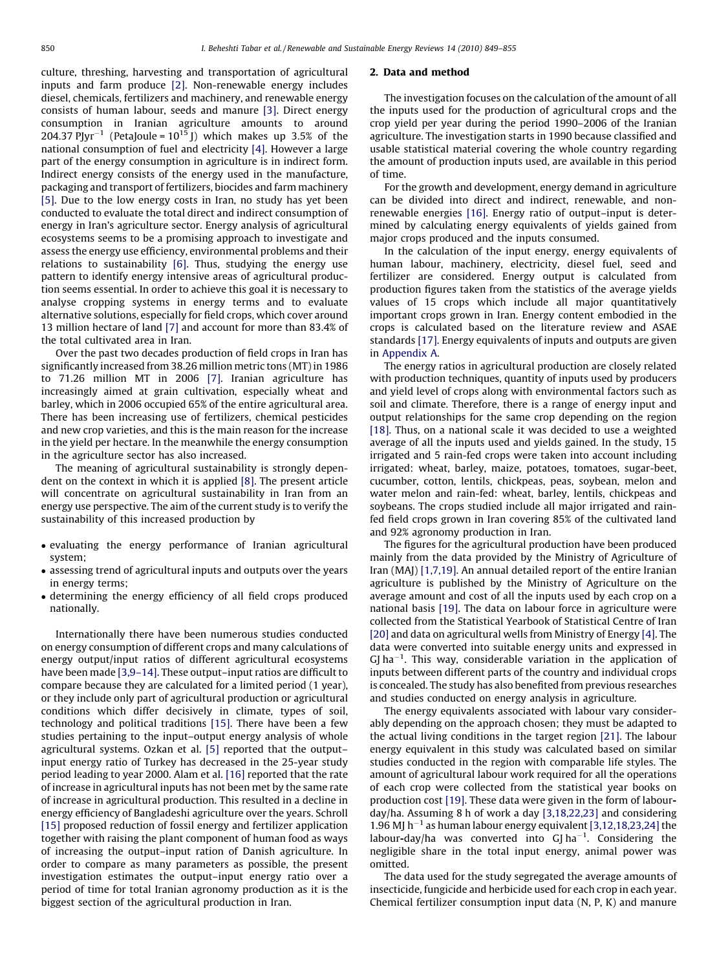culture, threshing, harvesting and transportation of agricultural inputs and farm produce [\[2\]](#page-5-0). Non-renewable energy includes diesel, chemicals, fertilizers and machinery, and renewable energy consists of human labour, seeds and manure [\[3\]](#page-5-0). Direct energy consumption in Iranian agriculture amounts to around 204.37 PJyr<sup>-1</sup> (PetaJoule =  $10^{15}$  J) which makes up 3.5% of the national consumption of fuel and electricity [\[4\].](#page-5-0) However a large part of the energy consumption in agriculture is in indirect form. Indirect energy consists of the energy used in the manufacture, packaging and transport of fertilizers, biocides and farm machinery [\[5\].](#page-5-0) Due to the low energy costs in Iran, no study has yet been conducted to evaluate the total direct and indirect consumption of energy in Iran's agriculture sector. Energy analysis of agricultural ecosystems seems to be a promising approach to investigate and assess the energy use efficiency, environmental problems and their relations to sustainability [\[6\].](#page-5-0) Thus, studying the energy use pattern to identify energy intensive areas of agricultural production seems essential. In order to achieve this goal it is necessary to analyse cropping systems in energy terms and to evaluate alternative solutions, especially for field crops, which cover around 13 million hectare of land [\[7\]](#page-5-0) and account for more than 83.4% of the total cultivated area in Iran.

Over the past two decades production of field crops in Iran has significantly increased from 38.26 million metric tons (MT) in 1986 to 71.26 million MT in 2006 [\[7\].](#page-5-0) Iranian agriculture has increasingly aimed at grain cultivation, especially wheat and barley, which in 2006 occupied 65% of the entire agricultural area. There has been increasing use of fertilizers, chemical pesticides and new crop varieties, and this is the main reason for the increase in the yield per hectare. In the meanwhile the energy consumption in the agriculture sector has also increased.

The meaning of agricultural sustainability is strongly dependent on the context in which it is applied [\[8\]](#page-5-0). The present article will concentrate on agricultural sustainability in Iran from an energy use perspective. The aim of the current study is to verify the sustainability of this increased production by

- evaluating the energy performance of Iranian agricultural system;
- assessing trend of agricultural inputs and outputs over the years in energy terms;
- determining the energy efficiency of all field crops produced nationally.

Internationally there have been numerous studies conducted on energy consumption of different crops and many calculations of energy output/input ratios of different agricultural ecosystems have been made [3,9-14]. These output-input ratios are difficult to compare because they are calculated for a limited period (1 year), or they include only part of agricultural production or agricultural conditions which differ decisively in climate, types of soil, technology and political traditions [\[15\]](#page-5-0). There have been a few studies pertaining to the input–output energy analysis of whole agricultural systems. Ozkan et al. [\[5\]](#page-5-0) reported that the output– input energy ratio of Turkey has decreased in the 25-year study period leading to year 2000. Alam et al. [\[16\]](#page-5-0) reported that the rate of increase in agricultural inputs has not been met by the same rate of increase in agricultural production. This resulted in a decline in energy efficiency of Bangladeshi agriculture over the years. Schroll [\[15\]](#page-5-0) proposed reduction of fossil energy and fertilizer application together with raising the plant component of human food as ways of increasing the output–input ration of Danish agriculture. In order to compare as many parameters as possible, the present investigation estimates the output–input energy ratio over a period of time for total Iranian agronomy production as it is the biggest section of the agricultural production in Iran.

#### 2. Data and method

The investigation focuses on the calculation of the amount of all the inputs used for the production of agricultural crops and the crop yield per year during the period 1990–2006 of the Iranian agriculture. The investigation starts in 1990 because classified and usable statistical material covering the whole country regarding the amount of production inputs used, are available in this period of time.

For the growth and development, energy demand in agriculture can be divided into direct and indirect, renewable, and nonrenewable energies [\[16\].](#page-5-0) Energy ratio of output–input is determined by calculating energy equivalents of yields gained from major crops produced and the inputs consumed.

In the calculation of the input energy, energy equivalents of human labour, machinery, electricity, diesel fuel, seed and fertilizer are considered. Energy output is calculated from production figures taken from the statistics of the average yields values of 15 crops which include all major quantitatively important crops grown in Iran. Energy content embodied in the crops is calculated based on the literature review and ASAE standards [\[17\].](#page-5-0) Energy equivalents of inputs and outputs are given in [Appendix A.](#page-5-0)

The energy ratios in agricultural production are closely related with production techniques, quantity of inputs used by producers and yield level of crops along with environmental factors such as soil and climate. Therefore, there is a range of energy input and output relationships for the same crop depending on the region [\[18\]](#page-5-0). Thus, on a national scale it was decided to use a weighted average of all the inputs used and yields gained. In the study, 15 irrigated and 5 rain-fed crops were taken into account including irrigated: wheat, barley, maize, potatoes, tomatoes, sugar-beet, cucumber, cotton, lentils, chickpeas, peas, soybean, melon and water melon and rain-fed: wheat, barley, lentils, chickpeas and soybeans. The crops studied include all major irrigated and rainfed field crops grown in Iran covering 85% of the cultivated land and 92% agronomy production in Iran.

The figures for the agricultural production have been produced mainly from the data provided by the Ministry of Agriculture of Iran (MAJ) [\[1,7,19\]](#page-5-0). An annual detailed report of the entire Iranian agriculture is published by the Ministry of Agriculture on the average amount and cost of all the inputs used by each crop on a national basis [\[19\].](#page-5-0) The data on labour force in agriculture were collected from the Statistical Yearbook of Statistical Centre of Iran [\[20\]](#page-5-0) and data on agricultural wells from Ministry of Energy [\[4\]](#page-5-0). The data were converted into suitable energy units and expressed in  $GJ$  ha<sup>-1</sup>. This way, considerable variation in the application of inputs between different parts of the country and individual crops is concealed. The study has also benefited from previous researches and studies conducted on energy analysis in agriculture.

The energy equivalents associated with labour vary considerably depending on the approach chosen; they must be adapted to the actual living conditions in the target region [\[21\]](#page-5-0). The labour energy equivalent in this study was calculated based on similar studies conducted in the region with comparable life styles. The amount of agricultural labour work required for all the operations of each crop were collected from the statistical year books on production cost [\[19\]](#page-5-0). These data were given in the form of labourday/ha. Assuming 8 h of work a day [\[3,18,22,23\]](#page-5-0) and considering 1.96 MJ  $h^{-1}$  as human labour energy equivalent [\[3,12,18,23,24\]](#page-5-0) the labour-day/ha was converted into  $GI$  ha<sup>-1</sup>. Considering the negligible share in the total input energy, animal power was omitted.

The data used for the study segregated the average amounts of insecticide, fungicide and herbicide used for each crop in each year. Chemical fertilizer consumption input data (N, P, K) and manure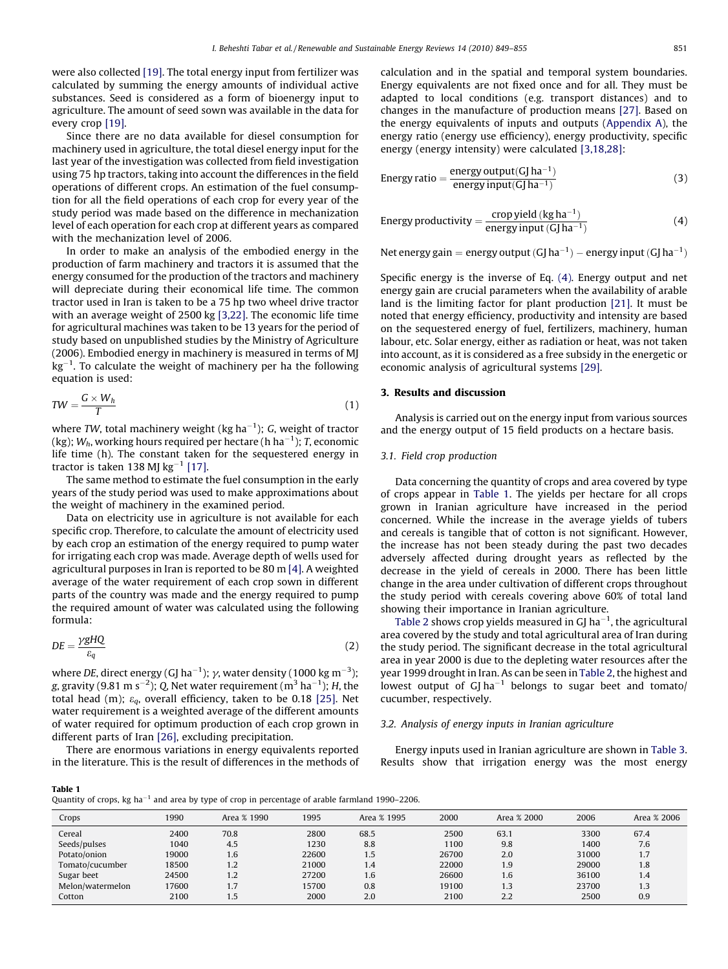were also collected [\[19\].](#page-5-0) The total energy input from fertilizer was calculated by summing the energy amounts of individual active substances. Seed is considered as a form of bioenergy input to agriculture. The amount of seed sown was available in the data for every crop [\[19\].](#page-5-0)

Since there are no data available for diesel consumption for machinery used in agriculture, the total diesel energy input for the last year of the investigation was collected from field investigation using 75 hp tractors, taking into account the differences in the field operations of different crops. An estimation of the fuel consumption for all the field operations of each crop for every year of the study period was made based on the difference in mechanization level of each operation for each crop at different years as compared with the mechanization level of 2006.

In order to make an analysis of the embodied energy in the production of farm machinery and tractors it is assumed that the energy consumed for the production of the tractors and machinery will depreciate during their economical life time. The common tractor used in Iran is taken to be a 75 hp two wheel drive tractor with an average weight of 2500 kg [\[3,22\].](#page-5-0) The economic life time for agricultural machines was taken to be 13 years for the period of study based on unpublished studies by the Ministry of Agriculture (2006). Embodied energy in machinery is measured in terms of MJ  $\text{kg}^{-1}$ . To calculate the weight of machinery per ha the following equation is used:

$$
TW = \frac{G \times W_h}{T} \tag{1}
$$

where TW, total machinery weight (kg ha $^{-1}$ ); G, weight of tractor (kg);  $W_h$ , working hours required per hectare (h ha $^{-1}$ ); T, economic life time (h). The constant taken for the sequestered energy in tractor is taken 138 MJ kg $^{-1}$  [\[17\].](#page-5-0)

The same method to estimate the fuel consumption in the early years of the study period was used to make approximations about the weight of machinery in the examined period.

Data on electricity use in agriculture is not available for each specific crop. Therefore, to calculate the amount of electricity used by each crop an estimation of the energy required to pump water for irrigating each crop was made. Average depth of wells used for agricultural purposes in Iran is reported to be 80 m [\[4\].](#page-5-0) A weighted average of the water requirement of each crop sown in different parts of the country was made and the energy required to pump the required amount of water was calculated using the following formula:

$$
DE = \frac{\gamma g H Q}{\varepsilon_q} \tag{2}
$$

where DE, direct energy (GJ ha $^{-1}$ );  $\gamma$ , water density (1000 kg m $^{-3}$ ); g, gravity (9.81 m s $^{-2}$ ); Q, Net water requirement (m $^3$  ha $^{-1}$ ); H, the total head (m);  $\varepsilon_q$ , overall efficiency, taken to be 0.18 [\[25\].](#page-6-0) Net water requirement is a weighted average of the different amounts of water required for optimum production of each crop grown in different parts of Iran [\[26\]](#page-6-0), excluding precipitation.

There are enormous variations in energy equivalents reported in the literature. This is the result of differences in the methods of calculation and in the spatial and temporal system boundaries. Energy equivalents are not fixed once and for all. They must be adapted to local conditions (e.g. transport distances) and to changes in the manufacture of production means [\[27\].](#page-6-0) Based on the energy equivalents of inputs and outputs [\(Appendix A\)](#page-5-0), the energy ratio (energy use efficiency), energy productivity, specific energy (energy intensity) were calculated [\[3,18,28\]](#page-5-0):

Energy ratio = 
$$
\frac{\text{energy output}(GJha^{-1})}{\text{energy input}(GJha^{-1})}
$$
 (3)

Energy productivity = 
$$
\frac{\text{crop yield} (\text{kg ha}^{-1})}{\text{energy input} (\text{GJ ha}^{-1})}
$$
(4)

Net energy gain = energy output (GJ ha<sup>-1</sup>) – energy input (GJ ha<sup>-1</sup>)

Specific energy is the inverse of Eq. (4). Energy output and net energy gain are crucial parameters when the availability of arable land is the limiting factor for plant production [\[21\].](#page-5-0) It must be noted that energy efficiency, productivity and intensity are based on the sequestered energy of fuel, fertilizers, machinery, human labour, etc. Solar energy, either as radiation or heat, was not taken into account, as it is considered as a free subsidy in the energetic or economic analysis of agricultural systems [\[29\].](#page-6-0)

# 3. Results and discussion

Analysis is carried out on the energy input from various sources and the energy output of 15 field products on a hectare basis.

# 3.1. Field crop production

Data concerning the quantity of crops and area covered by type of crops appear in Table 1. The yields per hectare for all crops grown in Iranian agriculture have increased in the period concerned. While the increase in the average yields of tubers and cereals is tangible that of cotton is not significant. However, the increase has not been steady during the past two decades adversely affected during drought years as reflected by the decrease in the yield of cereals in 2000. There has been little change in the area under cultivation of different crops throughout the study period with cereals covering above 60% of total land showing their importance in Iranian agriculture.

[Table 2](#page-3-0) shows crop yields measured in GJ ha<sup> $-1$ </sup>, the agricultural area covered by the study and total agricultural area of Iran during the study period. The significant decrease in the total agricultural area in year 2000 is due to the depleting water resources after the year 1999 drought in Iran. As can be seen in [Table 2](#page-3-0), the highest and lowest output of  $GJ$  ha<sup>-1</sup> belongs to sugar beet and tomato/ cucumber, respectively.

# 3.2. Analysis of energy inputs in Iranian agriculture

Energy inputs used in Iranian agriculture are shown in [Table 3.](#page-3-0) Results show that irrigation energy was the most energy

| $\sim$<br>$\sim$<br>$\sim$ |  |
|----------------------------|--|
|----------------------------|--|

| Quantity of crops, kg ha <sup>-1</sup> and area by type of crop in percentage of arable farmland 1990–2206. |  |  |  |  |
|-------------------------------------------------------------------------------------------------------------|--|--|--|--|
|-------------------------------------------------------------------------------------------------------------|--|--|--|--|

| Crops            | 1990  | Area % 1990 | 1995  | Area % 1995 | 2000  | Area % 2000 | 2006  | Area % 2006 |
|------------------|-------|-------------|-------|-------------|-------|-------------|-------|-------------|
| Cereal           | 2400  | 70.8        | 2800  | 68.5        | 2500  | 63.1        | 3300  | 67.4        |
| Seeds/pulses     | 1040  | 4.5         | 1230  | 8.8         | 1100  | 9.8         | 1400  | 7.6         |
| Potato/onion     | 19000 | 1.6         | 22600 | 1.5         | 26700 | 2.0         | 31000 | 1.7         |
| Tomato/cucumber  | 18500 | 1.2         | 21000 | 1.4         | 22000 | 1.9         | 29000 | 1.8         |
| Sugar beet       | 24500 | 1.2         | 27200 | 1.6         | 26600 | 1.6         | 36100 | 1.4         |
| Melon/watermelon | 17600 | 1.7         | 15700 | 0.8         | 19100 | 1.3         | 23700 | 1.3         |
| Cotton           | 2100  | 1.5         | 2000  | 2.0         | 2100  | 2.2         | 2500  | 0.9         |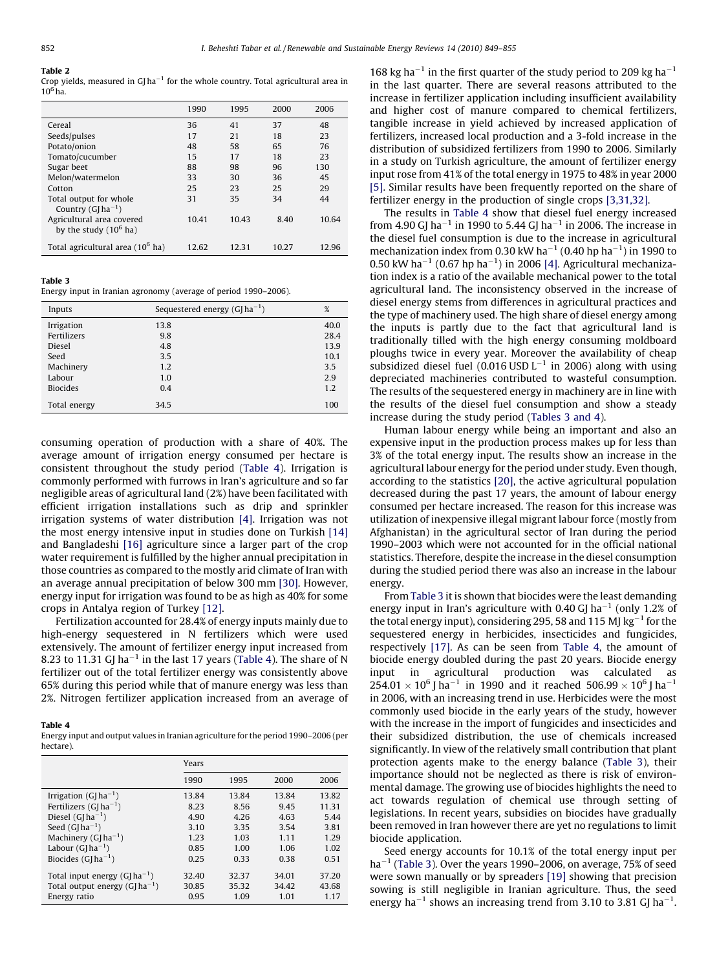#### <span id="page-3-0"></span>Table 2

Crop yields, measured in GJ ha<sup> $-1$ </sup> for the whole country. Total agricultural area in  $10^6$ ha.

|                                                       | 1990  | 1995  | 2000  | 2006  |
|-------------------------------------------------------|-------|-------|-------|-------|
| Cereal                                                | 36    | 41    | 37    | 48    |
| Seeds/pulses                                          | 17    | 21    | 18    | 23    |
| Potato/onion                                          | 48    | 58    | 65    | 76    |
| Tomato/cucumber                                       | 15    | 17    | 18    | 23    |
| Sugar beet                                            | 88    | 98    | 96    | 130   |
| Melon/watermelon                                      | 33    | 30    | 36    | 45    |
| Cotton                                                | 25    | 23    | 25    | 29    |
| Total output for whole<br>Country $(G[ha^{-1})$       | 31    | 35    | 34    | 44    |
| Agricultural area covered<br>by the study $(10^6$ ha) | 10.41 | 10.43 | 8.40  | 10.64 |
| Total agricultural area (10 <sup>6</sup> ha)          | 12.62 | 12.31 | 10.27 | 12.96 |

#### Table 3

Energy input in Iranian agronomy (average of period 1990–2006).

| Inputs          | Sequestered energy $(G ha^{-1})$ | %    |
|-----------------|----------------------------------|------|
| Irrigation      | 13.8                             | 40.0 |
| Fertilizers     | 9.8                              | 28.4 |
| Diesel          | 4.8                              | 13.9 |
| Seed            | 3.5                              | 10.1 |
| Machinery       | 1.2                              | 3.5  |
| Labour          | 1.0                              | 2.9  |
| <b>Biocides</b> | 0.4                              | 1.2  |
| Total energy    | 34.5                             | 100  |

consuming operation of production with a share of 40%. The average amount of irrigation energy consumed per hectare is consistent throughout the study period (Table 4). Irrigation is commonly performed with furrows in Iran's agriculture and so far negligible areas of agricultural land (2%) have been facilitated with efficient irrigation installations such as drip and sprinkler irrigation systems of water distribution [\[4\].](#page-5-0) Irrigation was not the most energy intensive input in studies done on Turkish [\[14\]](#page-5-0) and Bangladeshi [\[16\]](#page-5-0) agriculture since a larger part of the crop water requirement is fulfilled by the higher annual precipitation in those countries as compared to the mostly arid climate of Iran with an average annual precipitation of below 300 mm [\[30\].](#page-6-0) However, energy input for irrigation was found to be as high as 40% for some crops in Antalya region of Turkey [\[12\].](#page-5-0)

Fertilization accounted for 28.4% of energy inputs mainly due to high-energy sequestered in N fertilizers which were used extensively. The amount of fertilizer energy input increased from 8.23 to 11.31 GJ ha<sup> $-1$ </sup> in the last 17 years (Table 4). The share of N fertilizer out of the total fertilizer energy was consistently above 65% during this period while that of manure energy was less than 2%. Nitrogen fertilizer application increased from an average of

## Table 4

Energy input and output values in Iranian agriculture for the period 1990–2006 (per hectare).

|                                   | Years |       |       |       |
|-----------------------------------|-------|-------|-------|-------|
|                                   | 1990  | 1995  | 2000  | 2006  |
| Irrigation (GJ ha <sup>-1</sup> ) | 13.84 | 13.84 | 13.84 | 13.82 |
| Fertilizers $(G[ha^{-1})$         | 8.23  | 8.56  | 9.45  | 11.31 |
| Diesel $(G[ha^{-1})$              | 4.90  | 4.26  | 4.63  | 5.44  |
| Seed $(G[ha^{-1})$                | 3.10  | 3.35  | 3.54  | 3.81  |
| Machinery $(G ha^{-1})$           | 1.23  | 1.03  | 1.11  | 1.29  |
| Labour $(G ha^{-1})$              | 0.85  | 1.00  | 1.06  | 1.02  |
| Biocides $(G ha^{-1})$            | 0.25  | 0.33  | 0.38  | 0.51  |
| Total input energy $(G ha^{-1})$  | 32.40 | 32.37 | 34.01 | 37.20 |
| Total output energy $(G ha^{-1})$ | 30.85 | 35.32 | 34.42 | 43.68 |
| Energy ratio                      | 0.95  | 1.09  | 1.01  | 1.17  |

168 kg ha<sup> $-1$ </sup> in the first quarter of the study period to 209 kg ha $^{-1}$ in the last quarter. There are several reasons attributed to the increase in fertilizer application including insufficient availability and higher cost of manure compared to chemical fertilizers, tangible increase in yield achieved by increased application of fertilizers, increased local production and a 3-fold increase in the distribution of subsidized fertilizers from 1990 to 2006. Similarly in a study on Turkish agriculture, the amount of fertilizer energy input rose from 41% of the total energy in 1975 to 48% in year 2000 [\[5\].](#page-5-0) Similar results have been frequently reported on the share of fertilizer energy in the production of single crops [\[3,31,32\]](#page-5-0).

The results in Table 4 show that diesel fuel energy increased from 4.90 GJ ha<sup>-1</sup> in 1990 to 5.44 GJ ha<sup>-1</sup> in 2006. The increase in the diesel fuel consumption is due to the increase in agricultural mechanization index from 0.30 kW ha<sup> $-1$ </sup> (0.40 hp ha $^{-1}$ ) in 1990 to 0.50 kW ha<sup>-1</sup> (0.67 hp ha<sup>-1</sup>) in 2006 [\[4\]](#page-5-0). Agricultural mechanization index is a ratio of the available mechanical power to the total agricultural land. The inconsistency observed in the increase of diesel energy stems from differences in agricultural practices and the type of machinery used. The high share of diesel energy among the inputs is partly due to the fact that agricultural land is traditionally tilled with the high energy consuming moldboard ploughs twice in every year. Moreover the availability of cheap subsidized diesel fuel (0.016 USD  $L^{-1}$  in 2006) along with using depreciated machineries contributed to wasteful consumption. The results of the sequestered energy in machinery are in line with the results of the diesel fuel consumption and show a steady increase during the study period (Tables 3 and 4).

Human labour energy while being an important and also an expensive input in the production process makes up for less than 3% of the total energy input. The results show an increase in the agricultural labour energy for the period under study. Even though, according to the statistics [\[20\]](#page-5-0), the active agricultural population decreased during the past 17 years, the amount of labour energy consumed per hectare increased. The reason for this increase was utilization of inexpensive illegal migrant labour force (mostly from Afghanistan) in the agricultural sector of Iran during the period 1990–2003 which were not accounted for in the official national statistics. Therefore, despite the increase in the diesel consumption during the studied period there was also an increase in the labour energy.

From Table 3 it is shown that biocides were the least demanding energy input in Iran's agriculture with 0.40 GJ ha<sup>-1</sup> (only 1.2% of the total energy input), considering 295, 58 and 115 MJ  $\text{kg}^{-1}$  for the sequestered energy in herbicides, insecticides and fungicides, respectively [\[17\]](#page-5-0). As can be seen from Table 4, the amount of biocide energy doubled during the past 20 years. Biocide energy input in agricultural production was calculated as  $254.01 \times 10^6$  J ha<sup>-1</sup> in 1990 and it reached  $506.99 \times 10^6$  J ha<sup>-1</sup> in 2006, with an increasing trend in use. Herbicides were the most commonly used biocide in the early years of the study, however with the increase in the import of fungicides and insecticides and their subsidized distribution, the use of chemicals increased significantly. In view of the relatively small contribution that plant protection agents make to the energy balance (Table 3), their importance should not be neglected as there is risk of environmental damage. The growing use of biocides highlights the need to act towards regulation of chemical use through setting of legislations. In recent years, subsidies on biocides have gradually been removed in Iran however there are yet no regulations to limit biocide application.

Seed energy accounts for 10.1% of the total energy input per  $ha^{-1}$  (Table 3). Over the years 1990–2006, on average, 75% of seed were sown manually or by spreaders [\[19\]](#page-5-0) showing that precision sowing is still negligible in Iranian agriculture. Thus, the seed energy ha<sup>-1</sup> shows an increasing trend from 3.10 to 3.81 GJ ha<sup>-1</sup>.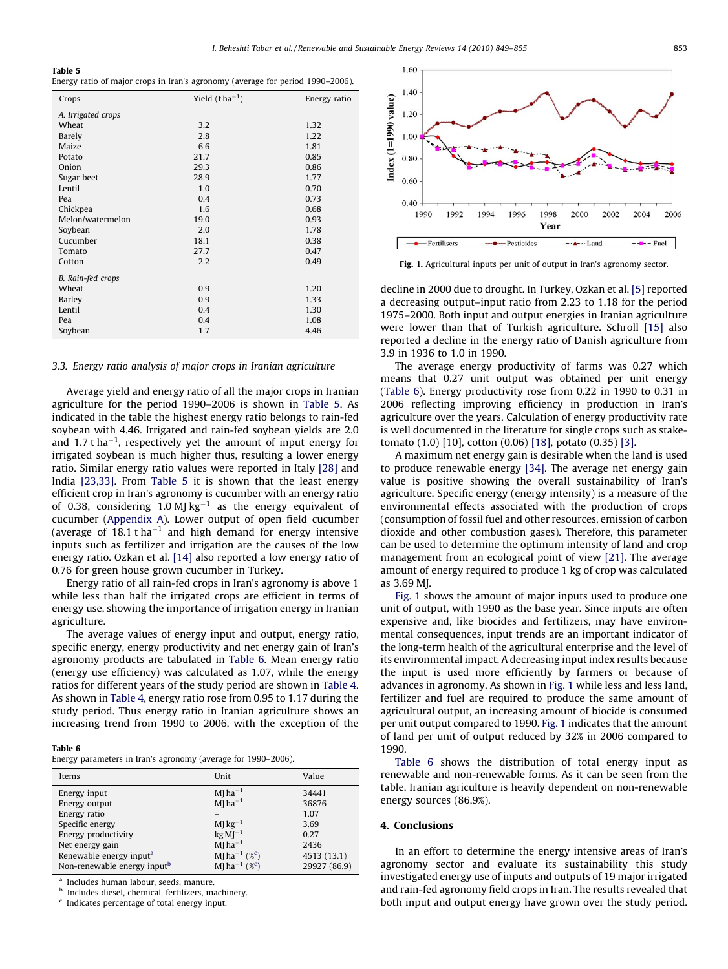## Table 5

Energy ratio of major crops in Iran's agronomy (average for period 1990–2006).

| Crops              | Yield $(t ha^{-1})$ | Energy ratio |
|--------------------|---------------------|--------------|
| A. Irrigated crops |                     |              |
| Wheat              | 3.2                 | 1.32         |
| Barely             | 2.8                 | 1.22         |
| Maize              | 6.6                 | 1.81         |
| Potato             | 21.7                | 0.85         |
| Onion              | 29.3                | 0.86         |
| Sugar beet         | 28.9                | 1.77         |
| Lentil             | 1.0                 | 0.70         |
| Pea                | 0.4                 | 0.73         |
| Chickpea           | 1.6                 | 0.68         |
| Melon/watermelon   | 19.0                | 0.93         |
| Soybean            | 2.0                 | 1.78         |
| Cucumber           | 18.1                | 0.38         |
| Tomato             | 27.7                | 0.47         |
| Cotton             | 2.2                 | 0.49         |
| B. Rain-fed crops  |                     |              |
| Wheat              | 0.9                 | 1.20         |
| Barley             | 0.9                 | 1.33         |
| Lentil             | 0.4                 | 1.30         |
| Pea                | 0.4                 | 1.08         |
| Soybean            | 1.7                 | 4.46         |

## 3.3. Energy ratio analysis of major crops in Iranian agriculture

Average yield and energy ratio of all the major crops in Iranian agriculture for the period 1990–2006 is shown in Table 5. As indicated in the table the highest energy ratio belongs to rain-fed soybean with 4.46. Irrigated and rain-fed soybean yields are 2.0 and 1.7 t ha<sup> $-1$ </sup>, respectively yet the amount of input energy for irrigated soybean is much higher thus, resulting a lower energy ratio. Similar energy ratio values were reported in Italy [\[28\]](#page-6-0) and India [\[23,33\]](#page-5-0). From Table 5 it is shown that the least energy efficient crop in Iran's agronomy is cucumber with an energy ratio of 0.38, considering 1.0 MJ  $kg^{-1}$  as the energy equivalent of cucumber ([Appendix A\)](#page-5-0). Lower output of open field cucumber (average of  $18.1$  t ha<sup> $-1$ </sup> and high demand for energy intensive inputs such as fertilizer and irrigation are the causes of the low energy ratio. Ozkan et al. [\[14\]](#page-5-0) also reported a low energy ratio of 0.76 for green house grown cucumber in Turkey.

Energy ratio of all rain-fed crops in Iran's agronomy is above 1 while less than half the irrigated crops are efficient in terms of energy use, showing the importance of irrigation energy in Iranian agriculture.

The average values of energy input and output, energy ratio, specific energy, energy productivity and net energy gain of Iran's agronomy products are tabulated in Table 6. Mean energy ratio (energy use efficiency) was calculated as 1.07, while the energy ratios for different years of the study period are shown in [Table 4.](#page-3-0) As shown in [Table 4,](#page-3-0) energy ratio rose from 0.95 to 1.17 during the study period. Thus energy ratio in Iranian agriculture shows an increasing trend from 1990 to 2006, with the exception of the

#### Table 6

Energy parameters in Iran's agronomy (average for 1990–2006).

| Items                                   | Unit                                  | Value        |
|-----------------------------------------|---------------------------------------|--------------|
| Energy input                            | MJ $ha^{-1}$                          | 34441        |
| Energy output                           | $MJ$ ha <sup>-1</sup>                 | 36876        |
| Energy ratio                            |                                       | 1.07         |
| Specific energy                         | $M\rm{Kg}^{-1}$                       | 3.69         |
| Energy productivity                     | $kg M-1$                              | 0.27         |
| Net energy gain                         | $MJ$ ha <sup>-1</sup>                 | 2436         |
| Renewable energy input <sup>a</sup>     | MJ ha <sup>-1</sup> ( $\%^c$ )        | 4513 (13.1)  |
| Non-renewable energy input <sup>b</sup> | MJ ha <sup>-1</sup> (% <sup>c</sup> ) | 29927 (86.9) |

Includes human labour, seeds, manure.

<sup>b</sup> Includes diesel, chemical, fertilizers, machinery.

Indicates percentage of total energy input.



Fig. 1. Agricultural inputs per unit of output in Iran's agronomy sector.

decline in 2000 due to drought. In Turkey, Ozkan et al. [\[5\]](#page-5-0) reported a decreasing output–input ratio from 2.23 to 1.18 for the period 1975–2000. Both input and output energies in Iranian agriculture were lower than that of Turkish agriculture. Schroll [\[15\]](#page-5-0) also reported a decline in the energy ratio of Danish agriculture from 3.9 in 1936 to 1.0 in 1990.

The average energy productivity of farms was 0.27 which means that 0.27 unit output was obtained per unit energy (Table 6). Energy productivity rose from 0.22 in 1990 to 0.31 in 2006 reflecting improving efficiency in production in Iran's agriculture over the years. Calculation of energy productivity rate is well documented in the literature for single crops such as staketomato (1.0) [10], cotton (0.06) [\[18\],](#page-5-0) potato (0.35) [\[3\].](#page-5-0)

A maximum net energy gain is desirable when the land is used to produce renewable energy [\[34\].](#page-6-0) The average net energy gain value is positive showing the overall sustainability of Iran's agriculture. Specific energy (energy intensity) is a measure of the environmental effects associated with the production of crops (consumption of fossil fuel and other resources, emission of carbon dioxide and other combustion gases). Therefore, this parameter can be used to determine the optimum intensity of land and crop management from an ecological point of view [\[21\].](#page-5-0) The average amount of energy required to produce 1 kg of crop was calculated as 3.69 MJ.

Fig. 1 shows the amount of major inputs used to produce one unit of output, with 1990 as the base year. Since inputs are often expensive and, like biocides and fertilizers, may have environmental consequences, input trends are an important indicator of the long-term health of the agricultural enterprise and the level of its environmental impact. A decreasing input index results because the input is used more efficiently by farmers or because of advances in agronomy. As shown in Fig. 1 while less and less land, fertilizer and fuel are required to produce the same amount of agricultural output, an increasing amount of biocide is consumed per unit output compared to 1990. Fig. 1 indicates that the amount of land per unit of output reduced by 32% in 2006 compared to 1990.

Table 6 shows the distribution of total energy input as renewable and non-renewable forms. As it can be seen from the table, Iranian agriculture is heavily dependent on non-renewable energy sources (86.9%).

#### 4. Conclusions

In an effort to determine the energy intensive areas of Iran's agronomy sector and evaluate its sustainability this study investigated energy use of inputs and outputs of 19 major irrigated and rain-fed agronomy field crops in Iran. The results revealed that both input and output energy have grown over the study period.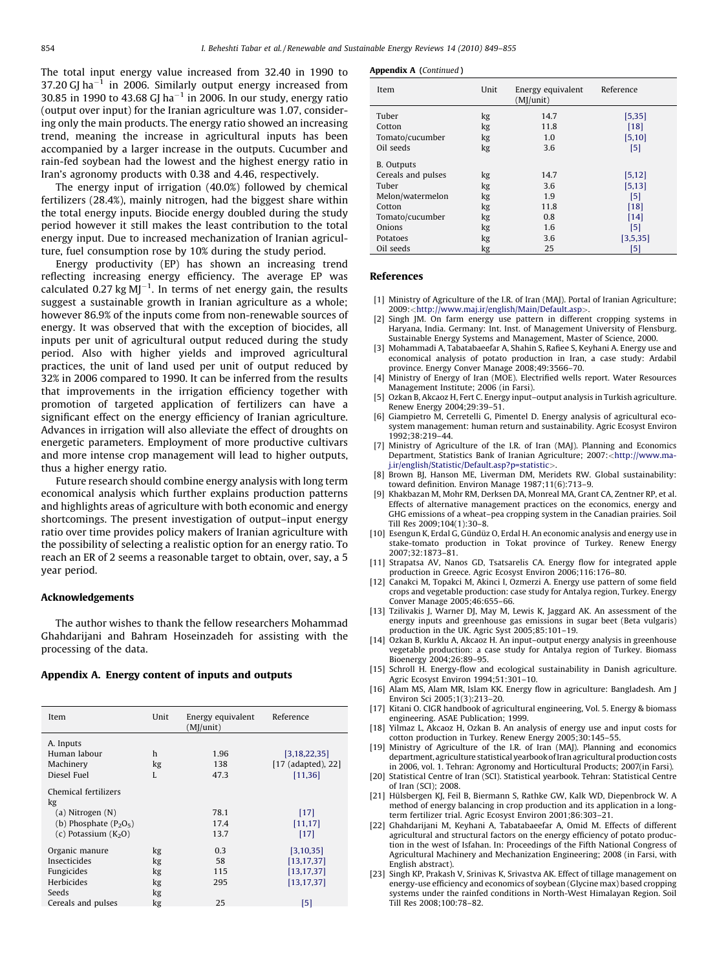<span id="page-5-0"></span>The total input energy value increased from 32.40 in 1990 to 37.20 GJ ha<sup> $-1$ </sup> in 2006. Similarly output energy increased from 30.85 in 1990 to 43.68 GJ ha<sup> $-1$ </sup> in 2006. In our study, energy ratio (output over input) for the Iranian agriculture was 1.07, considering only the main products. The energy ratio showed an increasing trend, meaning the increase in agricultural inputs has been accompanied by a larger increase in the outputs. Cucumber and rain-fed soybean had the lowest and the highest energy ratio in Iran's agronomy products with 0.38 and 4.46, respectively.

The energy input of irrigation (40.0%) followed by chemical fertilizers (28.4%), mainly nitrogen, had the biggest share within the total energy inputs. Biocide energy doubled during the study period however it still makes the least contribution to the total energy input. Due to increased mechanization of Iranian agriculture, fuel consumption rose by 10% during the study period.

Energy productivity (EP) has shown an increasing trend reflecting increasing energy efficiency. The average EP was calculated  $0.27$  kg MJ<sup>-1</sup>. In terms of net energy gain, the results suggest a sustainable growth in Iranian agriculture as a whole; however 86.9% of the inputs come from non-renewable sources of energy. It was observed that with the exception of biocides, all inputs per unit of agricultural output reduced during the study period. Also with higher yields and improved agricultural practices, the unit of land used per unit of output reduced by 32% in 2006 compared to 1990. It can be inferred from the results that improvements in the irrigation efficiency together with promotion of targeted application of fertilizers can have a significant effect on the energy efficiency of Iranian agriculture. Advances in irrigation will also alleviate the effect of droughts on energetic parameters. Employment of more productive cultivars and more intense crop management will lead to higher outputs, thus a higher energy ratio.

Future research should combine energy analysis with long term economical analysis which further explains production patterns and highlights areas of agriculture with both economic and energy shortcomings. The present investigation of output–input energy ratio over time provides policy makers of Iranian agriculture with the possibility of selecting a realistic option for an energy ratio. To reach an ER of 2 seems a reasonable target to obtain, over, say, a 5 year period.

# Acknowledgements

The author wishes to thank the fellow researchers Mohammad Ghahdarijani and Bahram Hoseinzadeh for assisting with the processing of the data.

## Appendix A. Energy content of inputs and outputs

| Item                                                                           | Unit                       | Energy equivalent<br>(MI/unit) | Reference                                                   |
|--------------------------------------------------------------------------------|----------------------------|--------------------------------|-------------------------------------------------------------|
| A. Inputs                                                                      |                            |                                |                                                             |
| Human labour                                                                   | h                          | 1.96                           | [3, 18, 22, 35]                                             |
| Machinery                                                                      | kg                         | 138                            | $[17$ (adapted), 22]                                        |
| Diesel Fuel                                                                    | L                          | 47.3                           | [11, 36]                                                    |
| Chemical fertilizers<br>kg<br>$(a)$ Nitrogen $(N)$<br>(b) Phosphate $(P_2O_5)$ |                            | 78.1<br>17.4                   | $[17]$<br>[11, 17]                                          |
| (c) Potassium $(K_2O)$                                                         |                            | 13.7                           | $[17]$                                                      |
| Organic manure<br>Insecticides<br>Fungicides<br>Herbicides<br>Seeds            | kg<br>kg<br>kg<br>kg<br>kg | 0.3<br>58<br>115<br>295        | [3, 10, 35]<br>[13, 17, 37]<br>[13, 17, 37]<br>[13, 17, 37] |
| Cereals and pulses                                                             | kg                         | 25                             | 51                                                          |

| Item               | Unit     | Energy equivalent<br>(MI/unit) | Reference       |  |
|--------------------|----------|--------------------------------|-----------------|--|
| Tuber<br>Cotton    | kg<br>kg | 14.7<br>11.8                   | [5, 35]<br>[18] |  |
| Tomato/cucumber    | kg       | 1.0                            | [5, 10]         |  |
| Oil seeds          | kg       | 3.6                            | [5]             |  |
| <b>B.</b> Outputs  |          |                                |                 |  |
| Cereals and pulses | kg       | 14.7                           | [5, 12]         |  |
| Tuber              | kg       | 3.6                            | [5, 13]         |  |
| Melon/watermelon   | kg       | 1.9                            | [5]             |  |
| Cotton             | kg       | 11.8                           | [18]            |  |
| Tomato/cucumber    | kg       | 0.8                            | $[14]$          |  |
| Onions             | kg       | 1.6                            | [5]             |  |
| Potatoes           | kg       | 3.6                            | [3,5,35]        |  |
| Oil seeds          | kg       | 25                             | [5]             |  |

#### References

- [1] Ministry of Agriculture of the I.R. of Iran (MAJ). Portal of Iranian Agriculture; 2009:<<http://www.maj.ir/english/Main/Default.asp>>[.](http://www.maj.ir/english/Main/Default.asp)
- Singh JM. On farm energy use pattern in different cropping systems in Haryana, India. Germany: Int. Inst. of Management University of Flensburg. Sustainable Energy Systems and Management, Master of Science, 2000.
- [3] Mohammadi A, Tabatabaeefar A, Shahin S, Rafiee S, Keyhani A. Energy use and economical analysis of potato production in Iran, a case study: Ardabil province. Energy Conver Manage 2008;49:3566–70.
- [4] Ministry of Energy of Iran (MOE). Electrified wells report. Water Resources Management Institute; 2006 (in Farsi).
- [5] Ozkan B, Akcaoz H, Fert C. Energy input–output analysis in Turkish agriculture. Renew Energy 2004;29:39–51.
- [6] Giampietro M, Cerretelli G, Pimentel D. Energy analysis of agricultural ecosystem management: human return and sustainability. Agric Ecosyst Environ 1992;38:219–44.
- [7] Ministry of Agriculture of the I.R. of Iran (MAJ). Planning and Economics Department, Statistics Bank of Iranian Agriculture; 2007:<[http://www.ma](http://www.maj.ir/english/Statistic/Default.asp%3Fp=statistic)[j.ir/english/Statistic/Default.asp?p=statistic](http://www.maj.ir/english/Statistic/Default.asp%3Fp=statistic)>[.](http://www.maj.ir/english/Statistic/Default.asp%3Fp=statistic)
- Brown BJ, Hanson ME, Liverman DM, Meridets RW. Global sustainability: toward definition. Environ Manage 1987;11(6):713–9.
- [9] Khakbazan M, Mohr RM, Derksen DA, Monreal MA, Grant CA, Zentner RP, et al. Effects of alternative management practices on the economics, energy and GHG emissions of a wheat–pea cropping system in the Canadian prairies. Soil Till Res 2009;104(1):30–8.
- [10] Esengun K, Erdal G, Gündüz O, Erdal H. An economic analysis and energy use in stake-tomato production in Tokat province of Turkey. Renew Energy 2007;32:1873–81.
- [11] Strapatsa AV, Nanos GD, Tsatsarelis CA. Energy flow for integrated apple production in Greece. Agric Ecosyst Environ 2006;116:176–80.
- [12] Canakci M, Topakci M, Akinci I, Ozmerzi A. Energy use pattern of some field crops and vegetable production: case study for Antalya region, Turkey. Energy Conver Manage 2005;46:655–66.
- [13] Tzilivakis J, Warner DJ, May M, Lewis K, Jaggard AK. An assessment of the energy inputs and greenhouse gas emissions in sugar beet (Beta vulgaris) production in the UK. Agric Syst 2005;85:101–19.
- [14] Ozkan B, Kurklu A, Akcaoz H, An input–output energy analysis in greenhouse vegetable production: a case study for Antalya region of Turkey. Biomass Bioenergy 2004;26:89–95.
- [15] Schroll H. Energy-flow and ecological sustainability in Danish agriculture. Agric Ecosyst Environ 1994;51:301–10.
- [16] Alam MS, Alam MR, Islam KK. Energy flow in agriculture: Bangladesh. Am J Environ Sci 2005;1(3):213–20.
- [17] Kitani O. CIGR handbook of agricultural engineering, Vol. 5. Energy & biomass engineering. ASAE Publication; 1999.
- [18] Yilmaz L, Akcaoz H, Ozkan B. An analysis of energy use and input costs for cotton production in Turkey. Renew Energy 2005;30:145–55.
- [19] Ministry of Agriculture of the I.R. of Iran (MAJ). Planning and economics department, agriculture statistical yearbook of Iran agricultural production costs in 2006, vol. 1. Tehran: Agronomy and Horticultural Products; 2007(in Farsi).
- [20] Statistical Centre of Iran (SCI). Statistical yearbook. Tehran: Statistical Centre of Iran (SCI); 2008.
- [21] Hülsbergen KJ, Feil B, Biermann S, Rathke GW, Kalk WD, Diepenbrock W. A method of energy balancing in crop production and its application in a longterm fertilizer trial. Agric Ecosyst Environ 2001;86:303–21.
- [22] Ghahdarijani M, Keyhani A, Tabatabaeefar A, Omid M. Effects of different agricultural and structural factors on the energy efficiency of potato production in the west of Isfahan. In: Proceedings of the Fifth National Congress of Agricultural Machinery and Mechanization Engineering; 2008 (in Farsi, with English abstract).
- [23] Singh KP, Prakash V, Srinivas K, Srivastva AK. Effect of tillage management on energy-use efficiency and economics of soybean (Glycine max) based cropping systems under the rainfed conditions in North-West Himalayan Region. Soil Till Res 2008;100:78–82.